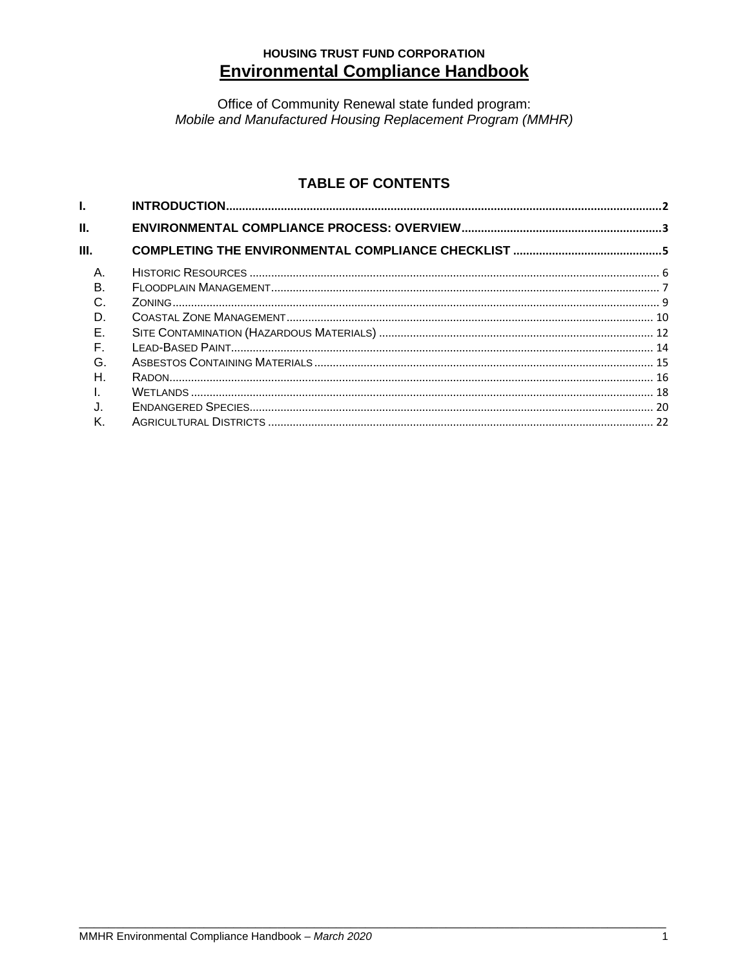# **HOUSING TRUST FUND CORPORATION Environmental Compliance Handbook**

Office of Community Renewal state funded program:<br>Mobile and Manufactured Housing Replacement Program (MMHR)

# **TABLE OF CONTENTS**

| L.   |  |
|------|--|
| II.  |  |
| III. |  |
| Α.   |  |
| B.   |  |
| C.   |  |
| D.   |  |
| E.   |  |
| F.   |  |
| G.   |  |
| Н.   |  |
|      |  |
|      |  |
| Κ.   |  |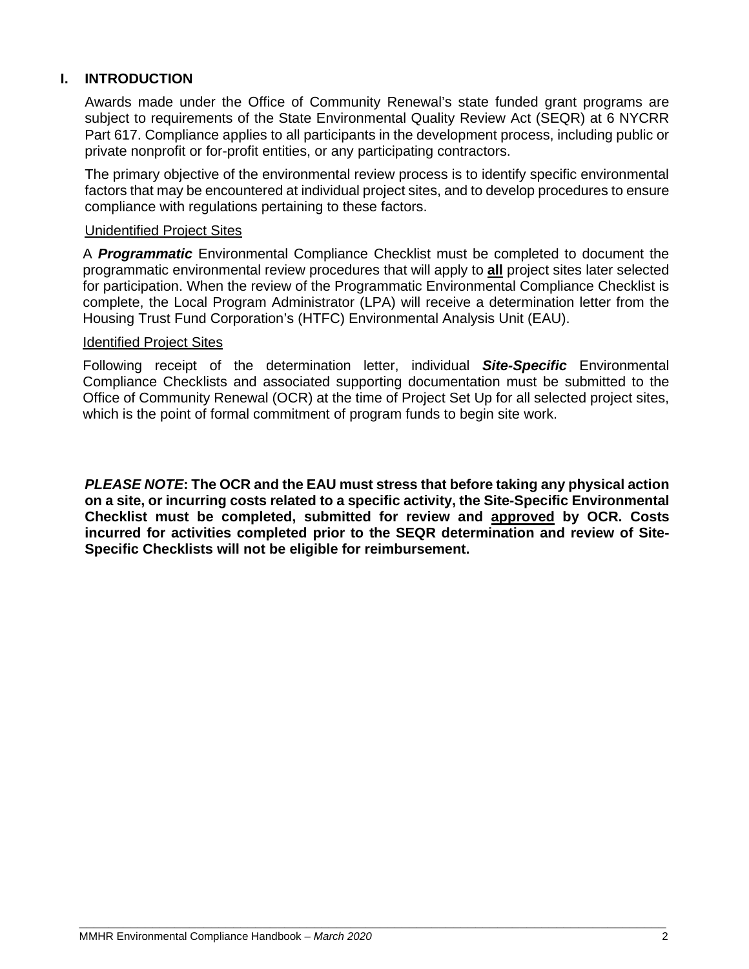# <span id="page-1-0"></span>**I. INTRODUCTION**

Awards made under the Office of Community Renewal's state funded grant programs are subject to requirements of the State Environmental Quality Review Act (SEQR) at 6 NYCRR Part 617. Compliance applies to all participants in the development process, including public or private nonprofit or for-profit entities, or any participating contractors.

The primary objective of the environmental review process is to identify specific environmental factors that may be encountered at individual project sites, and to develop procedures to ensure compliance with regulations pertaining to these factors.

### Unidentified Project Sites

A *Programmatic* Environmental Compliance Checklist must be completed to document the programmatic environmental review procedures that will apply to **all** project sites later selected for participation. When the review of the Programmatic Environmental Compliance Checklist is complete, the Local Program Administrator (LPA) will receive a determination letter from the Housing Trust Fund Corporation's (HTFC) Environmental Analysis Unit (EAU).

#### Identified Project Sites

Following receipt of the determination letter, individual *Site-Specific* Environmental Compliance Checklists and associated supporting documentation must be submitted to the Office of Community Renewal (OCR) at the time of Project Set Up for all selected project sites, which is the point of formal commitment of program funds to begin site work.

*PLEASE NOTE***: The OCR and the EAU must stress that before taking any physical action on a site, or incurring costs related to a specific activity, the Site-Specific Environmental Checklist must be completed, submitted for review and approved by OCR. Costs incurred for activities completed prior to the SEQR determination and review of Site-Specific Checklists will not be eligible for reimbursement.**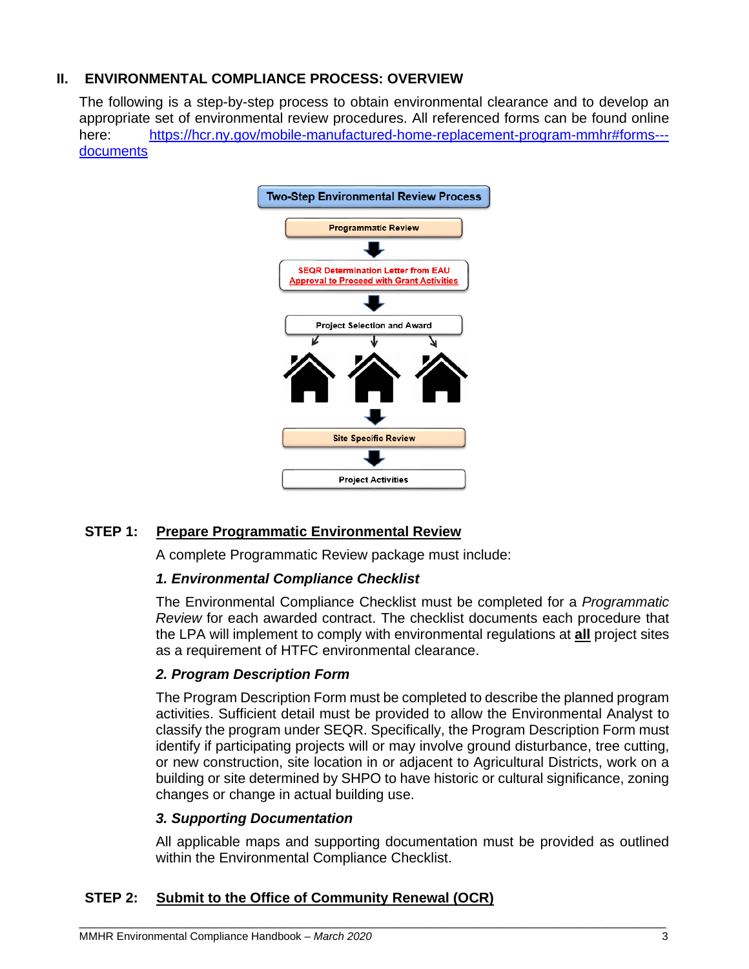# <span id="page-2-0"></span>**II. ENVIRONMENTAL COMPLIANCE PROCESS: OVERVIEW**

The following is a step-by-step process to obtain environmental clearance and to develop an appropriate set of environmental review procedures. All referenced forms can be found online here: [https://hcr.ny.gov/mobile-manufactured-home-replacement-program-mmhr#forms--](https://hcr.ny.gov/mobile-manufactured-home-replacement-program-mmhr%23forms---documents) [documents](https://hcr.ny.gov/mobile-manufactured-home-replacement-program-mmhr%23forms---documents)



## **STEP 1: Prepare Programmatic Environmental Review**

A complete Programmatic Review package must include:

### *1. Environmental Compliance Checklist*

The Environmental Compliance Checklist must be completed for a *Programmatic Review* for each awarded contract. The checklist documents each procedure that the LPA will implement to comply with environmental regulations at **all** project sites as a requirement of HTFC environmental clearance.

## *2. Program Description Form*

The Program Description Form must be completed to describe the planned program activities. Sufficient detail must be provided to allow the Environmental Analyst to classify the program under SEQR. Specifically, the Program Description Form must identify if participating projects will or may involve ground disturbance, tree cutting, or new construction, site location in or adjacent to Agricultural Districts, work on a building or site determined by SHPO to have historic or cultural significance, zoning changes or change in actual building use.

### *3. Supporting Documentation*

All applicable maps and supporting documentation must be provided as outlined within the Environmental Compliance Checklist.

*\_\_\_\_\_\_\_\_\_\_\_\_\_\_\_\_\_\_\_\_\_\_\_\_\_\_\_\_\_\_\_\_\_\_\_\_\_\_\_\_\_\_\_\_\_\_\_\_\_\_\_\_\_\_\_\_\_\_\_\_\_\_\_\_\_\_\_\_\_\_\_\_\_\_\_\_\_\_\_\_*

# **STEP 2: Submit to the Office of Community Renewal (OCR)**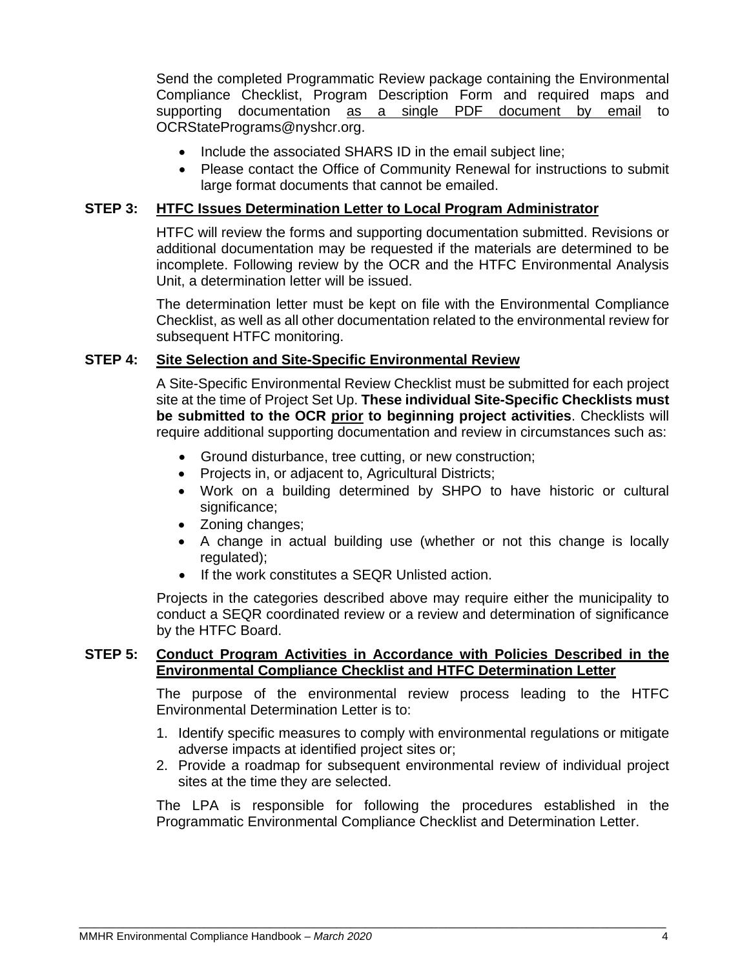Send the completed Programmatic Review package containing the Environmental Compliance Checklist, Program Description Form and required maps and supporting documentation as a single PDF document by email to OCRStatePrograms@nyshcr.org.

- Include the associated SHARS ID in the email subject line;
- Please contact the Office of Community Renewal for instructions to submit large format documents that cannot be emailed.

## **STEP 3: HTFC Issues Determination Letter to Local Program Administrator**

HTFC will review the forms and supporting documentation submitted. Revisions or additional documentation may be requested if the materials are determined to be incomplete. Following review by the OCR and the HTFC Environmental Analysis Unit, a determination letter will be issued.

The determination letter must be kept on file with the Environmental Compliance Checklist, as well as all other documentation related to the environmental review for subsequent HTFC monitoring.

## **STEP 4: Site Selection and Site-Specific Environmental Review**

A Site-Specific Environmental Review Checklist must be submitted for each project site at the time of Project Set Up. **These individual Site-Specific Checklists must be submitted to the OCR prior to beginning project activities**. Checklists will require additional supporting documentation and review in circumstances such as:

- Ground disturbance, tree cutting, or new construction;
- Projects in, or adjacent to, Agricultural Districts;
- Work on a building determined by SHPO to have historic or cultural significance:
- Zoning changes;
- A change in actual building use (whether or not this change is locally regulated);
- If the work constitutes a SEQR Unlisted action.

Projects in the categories described above may require either the municipality to conduct a SEQR coordinated review or a review and determination of significance by the HTFC Board.

### **STEP 5: Conduct Program Activities in Accordance with Policies Described in the Environmental Compliance Checklist and HTFC Determination Letter**

The purpose of the environmental review process leading to the HTFC Environmental Determination Letter is to:

- 1. Identify specific measures to comply with environmental regulations or mitigate adverse impacts at identified project sites or;
- 2. Provide a roadmap for subsequent environmental review of individual project sites at the time they are selected.

The LPA is responsible for following the procedures established in the Programmatic Environmental Compliance Checklist and Determination Letter.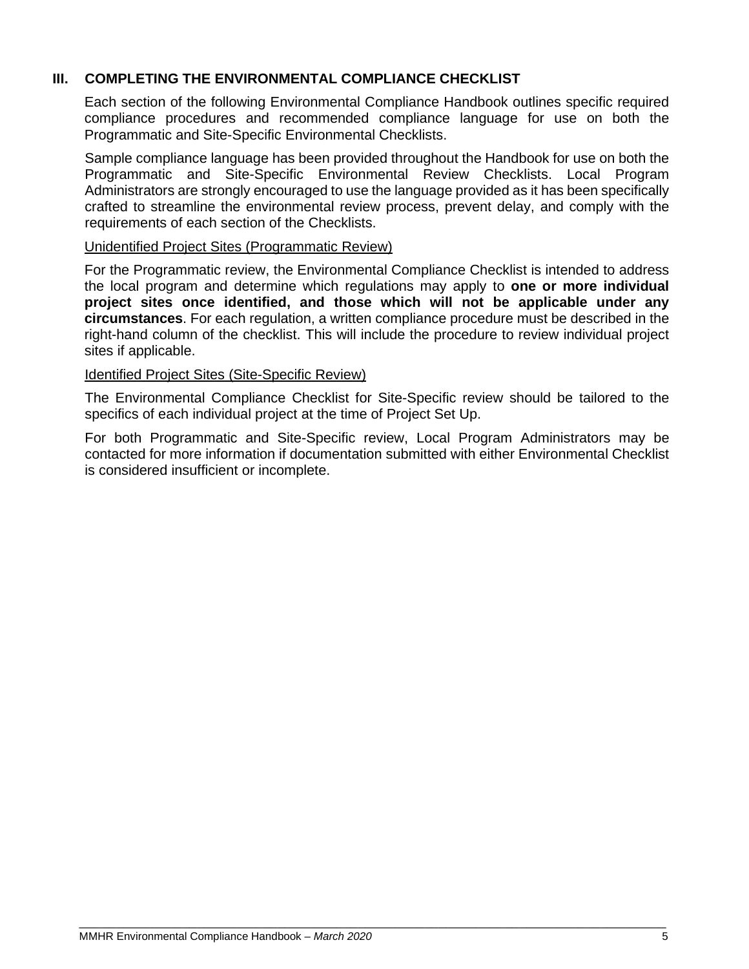## <span id="page-4-0"></span>**III. COMPLETING THE ENVIRONMENTAL COMPLIANCE CHECKLIST**

Each section of the following Environmental Compliance Handbook outlines specific required compliance procedures and recommended compliance language for use on both the Programmatic and Site-Specific Environmental Checklists.

Sample compliance language has been provided throughout the Handbook for use on both the Programmatic and Site-Specific Environmental Review Checklists. Local Program Administrators are strongly encouraged to use the language provided as it has been specifically crafted to streamline the environmental review process, prevent delay, and comply with the requirements of each section of the Checklists.

### Unidentified Project Sites (Programmatic Review)

For the Programmatic review, the Environmental Compliance Checklist is intended to address the local program and determine which regulations may apply to **one or more individual project sites once identified, and those which will not be applicable under any circumstances**. For each regulation, a written compliance procedure must be described in the right-hand column of the checklist. This will include the procedure to review individual project sites if applicable.

#### Identified Project Sites (Site-Specific Review)

The Environmental Compliance Checklist for Site-Specific review should be tailored to the specifics of each individual project at the time of Project Set Up.

For both Programmatic and Site-Specific review, Local Program Administrators may be contacted for more information if documentation submitted with either Environmental Checklist is considered insufficient or incomplete.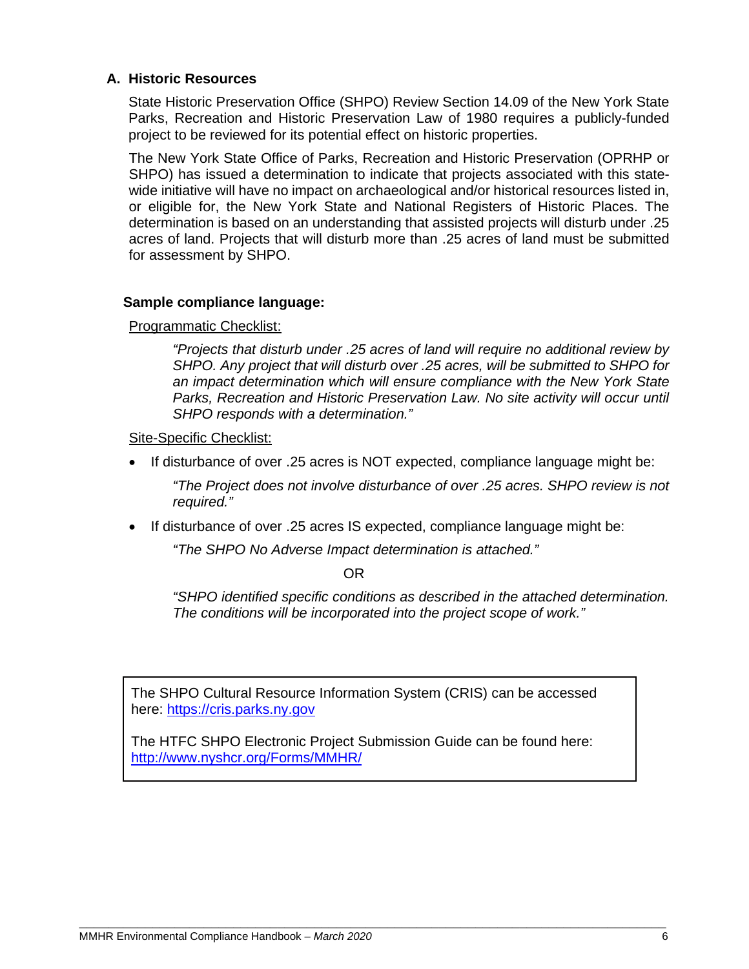## <span id="page-5-0"></span>**A. Historic Resources**

State Historic Preservation Office (SHPO) Review Section 14.09 of the New York State Parks, Recreation and Historic Preservation Law of 1980 requires a publicly-funded project to be reviewed for its potential effect on historic properties.

The New York State Office of Parks, Recreation and Historic Preservation (OPRHP or SHPO) has issued a determination to indicate that projects associated with this statewide initiative will have no impact on archaeological and/or historical resources listed in, or eligible for, the New York State and National Registers of Historic Places. The determination is based on an understanding that assisted projects will disturb under .25 acres of land. Projects that will disturb more than .25 acres of land must be submitted for assessment by SHPO.

### **Sample compliance language:**

## Programmatic Checklist:

*"Projects that disturb under .25 acres of land will require no additional review by SHPO. Any project that will disturb over .25 acres, will be submitted to SHPO for an impact determination which will ensure compliance with the New York State Parks, Recreation and Historic Preservation Law. No site activity will occur until SHPO responds with a determination."*

## Site-Specific Checklist:

• If disturbance of over .25 acres is NOT expected, compliance language might be:

*"The Project does not involve disturbance of over .25 acres. SHPO review is not required."*

• If disturbance of over .25 acres IS expected, compliance language might be:

*"The SHPO No Adverse Impact determination is attached."*

### OR

*"SHPO identified specific conditions as described in the attached determination. The conditions will be incorporated into the project scope of work."*

The SHPO Cultural Resource Information System (CRIS) can be accessed here: [https://cris.parks.ny.gov](https://cris.parks.ny.gov/)

The HTFC SHPO Electronic Project Submission Guide can be found here: <http://www.nyshcr.org/Forms/MMHR/>

*\_\_\_\_\_\_\_\_\_\_\_\_\_\_\_\_\_\_\_\_\_\_\_\_\_\_\_\_\_\_\_\_\_\_\_\_\_\_\_\_\_\_\_\_\_\_\_\_\_\_\_\_\_\_\_\_\_\_\_\_\_\_\_\_\_\_\_\_\_\_\_\_\_\_\_\_\_\_\_\_*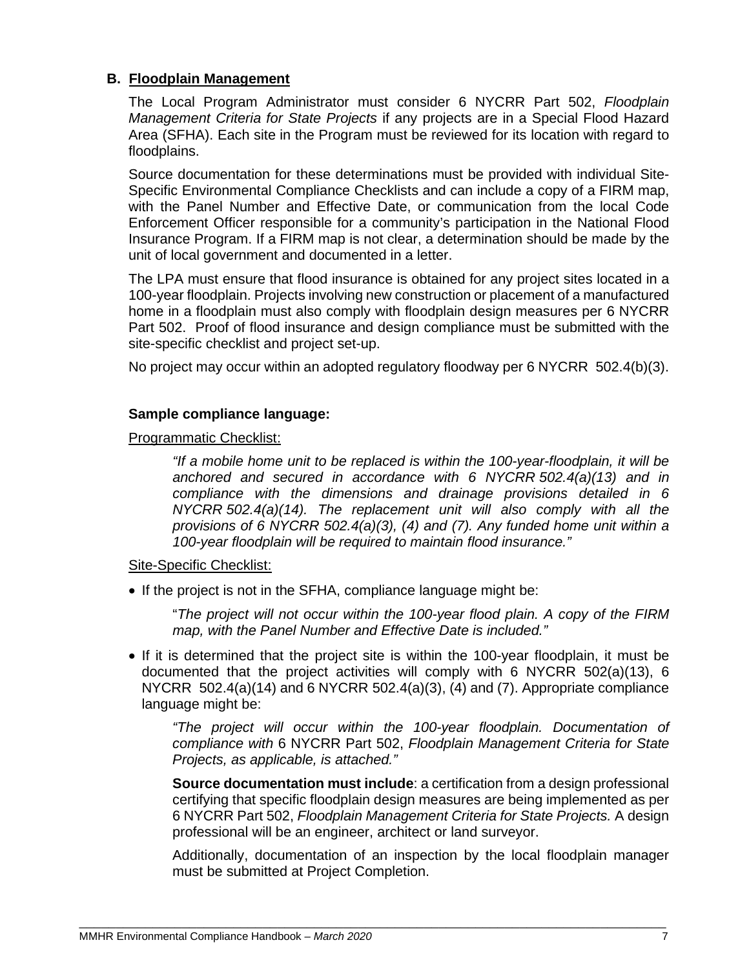## <span id="page-6-0"></span>**B. Floodplain Management**

The Local Program Administrator must consider 6 NYCRR Part 502, *Floodplain Management Criteria for State Projects* if any projects are in a Special Flood Hazard Area (SFHA). Each site in the Program must be reviewed for its location with regard to floodplains.

Source documentation for these determinations must be provided with individual Site-Specific Environmental Compliance Checklists and can include a copy of a FIRM map, with the Panel Number and Effective Date, or communication from the local Code Enforcement Officer responsible for a community's participation in the National Flood Insurance Program. If a FIRM map is not clear, a determination should be made by the unit of local government and documented in a letter.

The LPA must ensure that flood insurance is obtained for any project sites located in a 100-year floodplain. Projects involving new construction or placement of a manufactured home in a floodplain must also comply with floodplain design measures per 6 NYCRR Part 502. Proof of flood insurance and design compliance must be submitted with the site-specific checklist and project set-up.

No project may occur within an adopted regulatory floodway per 6 NYCRR 502.4(b)(3).

## **Sample compliance language:**

Programmatic Checklist:

*"If a mobile home unit to be replaced is within the 100-year-floodplain, it will be anchored and secured in accordance with 6 NYCRR 502.4(a)(13) and in compliance with the dimensions and drainage provisions detailed in 6 NYCRR 502.4(a)(14). The replacement unit will also comply with all the provisions of 6 NYCRR 502.4(a)(3), (4) and (7). Any funded home unit within a 100-year floodplain will be required to maintain flood insurance."*

### Site-Specific Checklist:

• If the project is not in the SFHA, compliance language might be:

"*The project will not occur within the 100-year flood plain. A copy of the FIRM map, with the Panel Number and Effective Date is included."* 

• If it is determined that the project site is within the 100-year floodplain, it must be documented that the project activities will comply with 6 NYCRR 502(a)(13), 6 NYCRR 502.4(a)(14) and 6 NYCRR 502.4(a)(3), (4) and (7). Appropriate compliance language might be:

*"The project will occur within the 100-year floodplain. Documentation of compliance with* 6 NYCRR Part 502, *Floodplain Management Criteria for State Projects, as applicable, is attached."*

**Source documentation must include**: a certification from a design professional certifying that specific floodplain design measures are being implemented as per 6 NYCRR Part 502, *Floodplain Management Criteria for State Projects.* A design professional will be an engineer, architect or land surveyor.

Additionally, documentation of an inspection by the local floodplain manager must be submitted at Project Completion.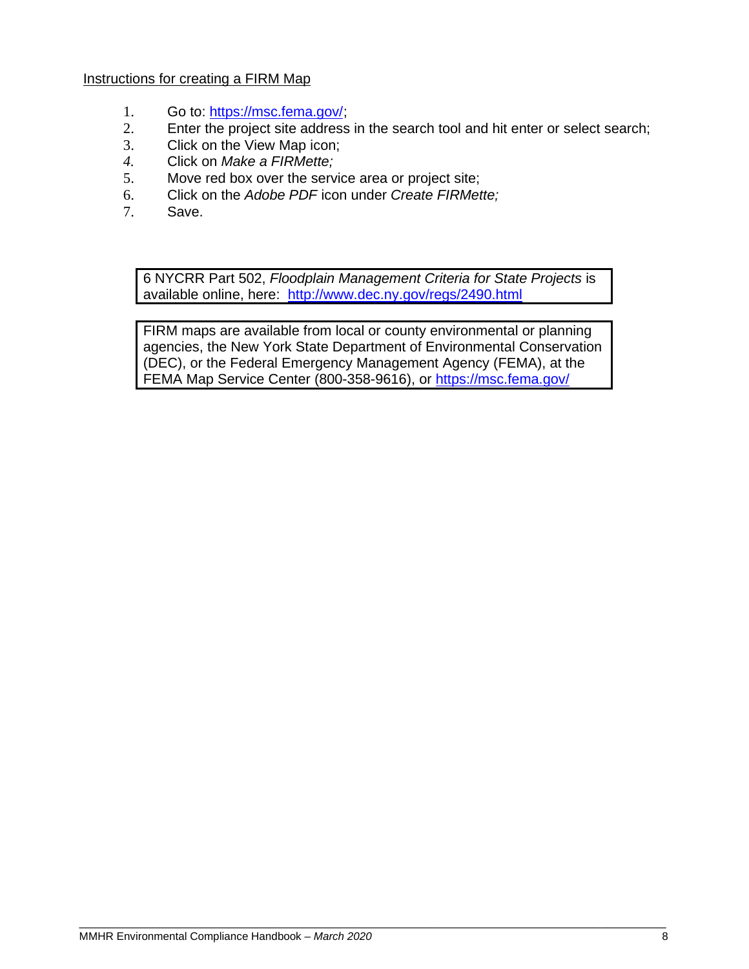#### Instructions for creating a FIRM Map

- 1. Go to: [https://msc.fema.gov/;](https://msc.fema.gov/)
- 2. Enter the project site address in the search tool and hit enter or select search;
- 3. Click on the View Map icon;
- *4.* Click on *Make a FIRMette;*
- 5. Move red box over the service area or project site;
- 6. Click on the *Adobe PDF* icon under *Create FIRMette;*
- 7. Save.

6 NYCRR Part 502, *Floodplain Management Criteria for State Projects* is available online, here: <http://www.dec.ny.gov/regs/2490.html>

FIRM maps are available from local or county environmental or planning agencies, the New York State Department of Environmental Conservation (DEC), or the Federal Emergency Management Agency (FEMA), at the FEMA Map Service Center (800-358-9616), or<https://msc.fema.gov/>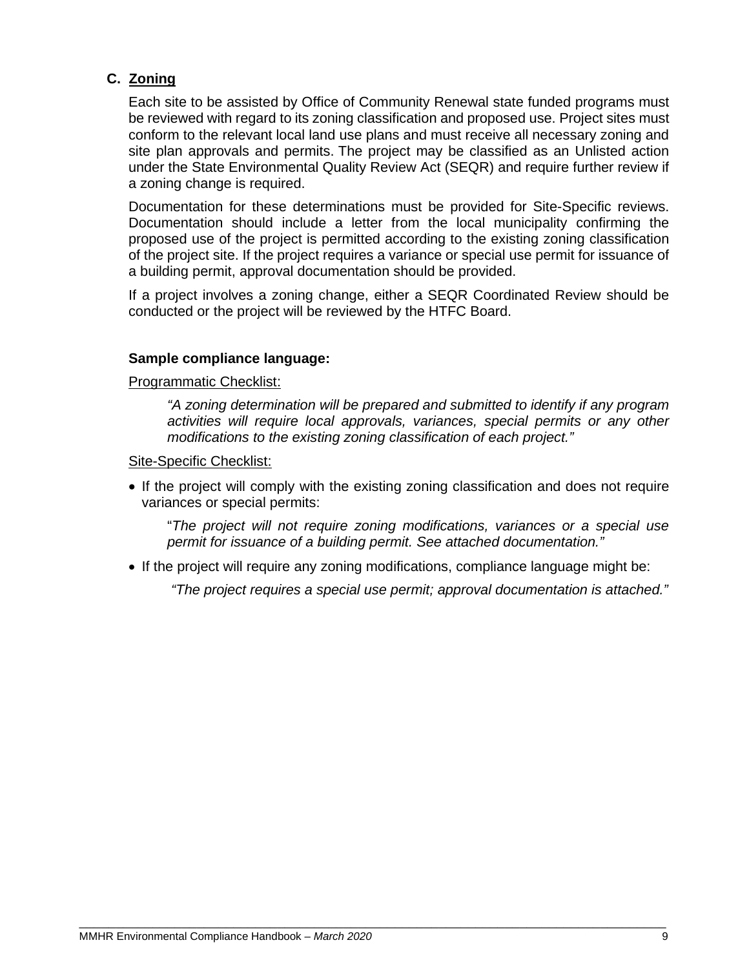# <span id="page-8-0"></span>**C. Zoning**

Each site to be assisted by Office of Community Renewal state funded programs must be reviewed with regard to its zoning classification and proposed use. Project sites must conform to the relevant local land use plans and must receive all necessary zoning and site plan approvals and permits. The project may be classified as an Unlisted action under the State Environmental Quality Review Act (SEQR) and require further review if a zoning change is required.

Documentation for these determinations must be provided for Site-Specific reviews. Documentation should include a letter from the local municipality confirming the proposed use of the project is permitted according to the existing zoning classification of the project site. If the project requires a variance or special use permit for issuance of a building permit, approval documentation should be provided.

If a project involves a zoning change, either a SEQR Coordinated Review should be conducted or the project will be reviewed by the HTFC Board.

### **Sample compliance language:**

Programmatic Checklist:

*"A zoning determination will be prepared and submitted to identify if any program activities will require local approvals, variances, special permits or any other modifications to the existing zoning classification of each project."*

#### Site-Specific Checklist:

• If the project will comply with the existing zoning classification and does not require variances or special permits:

"*The project will not require zoning modifications, variances or a special use permit for issuance of a building permit. See attached documentation."*

• If the project will require any zoning modifications, compliance language might be:

*"The project requires a special use permit; approval documentation is attached."*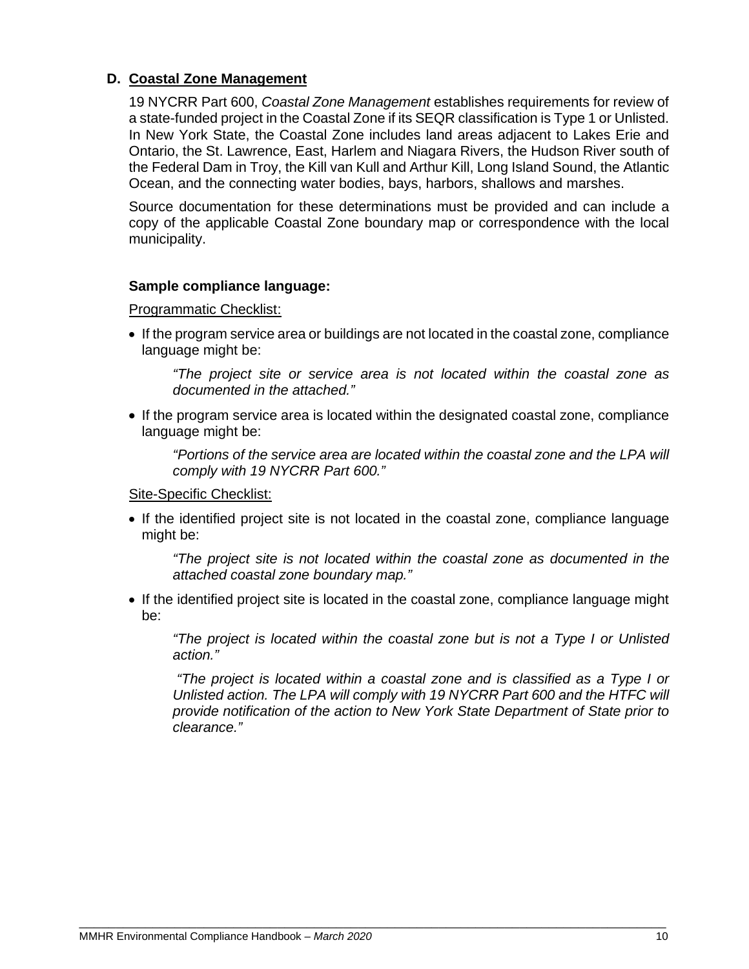## <span id="page-9-0"></span>**D. Coastal Zone Management**

19 NYCRR Part 600, *Coastal Zone Management* establishes requirements for review of a state-funded project in the Coastal Zone if its SEQR classification is Type 1 or Unlisted. In New York State, the Coastal Zone includes land areas adjacent to Lakes Erie and Ontario, the St. Lawrence, East, Harlem and Niagara Rivers, the Hudson River south of the Federal Dam in Troy, the Kill van Kull and Arthur Kill, Long Island Sound, the Atlantic Ocean, and the connecting water bodies, bays, harbors, shallows and marshes.

Source documentation for these determinations must be provided and can include a copy of the applicable Coastal Zone boundary map or correspondence with the local municipality.

### **Sample compliance language:**

Programmatic Checklist:

• If the program service area or buildings are not located in the coastal zone, compliance language might be:

*"The project site or service area is not located within the coastal zone as documented in the attached."*

• If the program service area is located within the designated coastal zone, compliance language might be:

*"Portions of the service area are located within the coastal zone and the LPA will comply with 19 NYCRR Part 600."*

#### Site-Specific Checklist:

• If the identified project site is not located in the coastal zone, compliance language might be:

*"The project site is not located within the coastal zone as documented in the attached coastal zone boundary map."*

• If the identified project site is located in the coastal zone, compliance language might be:

*\_\_\_\_\_\_\_\_\_\_\_\_\_\_\_\_\_\_\_\_\_\_\_\_\_\_\_\_\_\_\_\_\_\_\_\_\_\_\_\_\_\_\_\_\_\_\_\_\_\_\_\_\_\_\_\_\_\_\_\_\_\_\_\_\_\_\_\_\_\_\_\_\_\_\_\_\_\_\_\_*

*"The project is located within the coastal zone but is not a Type I or Unlisted action."*

*"The project is located within a coastal zone and is classified as a Type I or Unlisted action. The LPA will comply with 19 NYCRR Part 600 and the HTFC will provide notification of the action to New York State Department of State prior to clearance."*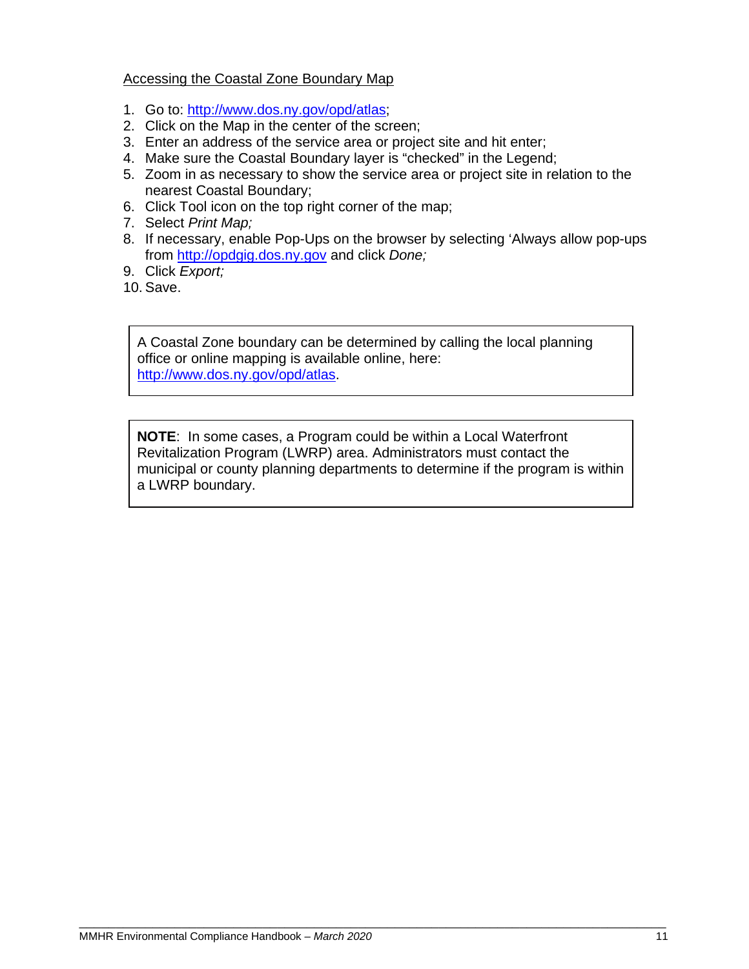## Accessing the Coastal Zone Boundary Map

- 1. Go to: [http://www.dos.ny.gov/opd/atlas;](http://www.dos.ny.gov/opd/atlas)
- 2. Click on the Map in the center of the screen;
- 3. Enter an address of the service area or project site and hit enter;
- 4. Make sure the Coastal Boundary layer is "checked" in the Legend;
- 5. Zoom in as necessary to show the service area or project site in relation to the nearest Coastal Boundary;
- 6. Click Tool icon on the top right corner of the map;
- 7. Select *Print Map;*
- 8. If necessary, enable Pop-Ups on the browser by selecting 'Always allow pop-ups from [http://opdgig.dos.ny.gov](http://opdgig.dos.ny.gov/) and click *Done;*
- 9. Click *Export;*
- 10. Save.

A Coastal Zone boundary can be determined by calling the local planning office or online mapping is available online, here: [http://www.dos.ny.gov/opd/atlas.](http://www.dos.ny.gov/opd/atlas)

**NOTE**: In some cases, a Program could be within a Local Waterfront Revitalization Program (LWRP) area. Administrators must contact the municipal or county planning departments to determine if the program is within a LWRP boundary.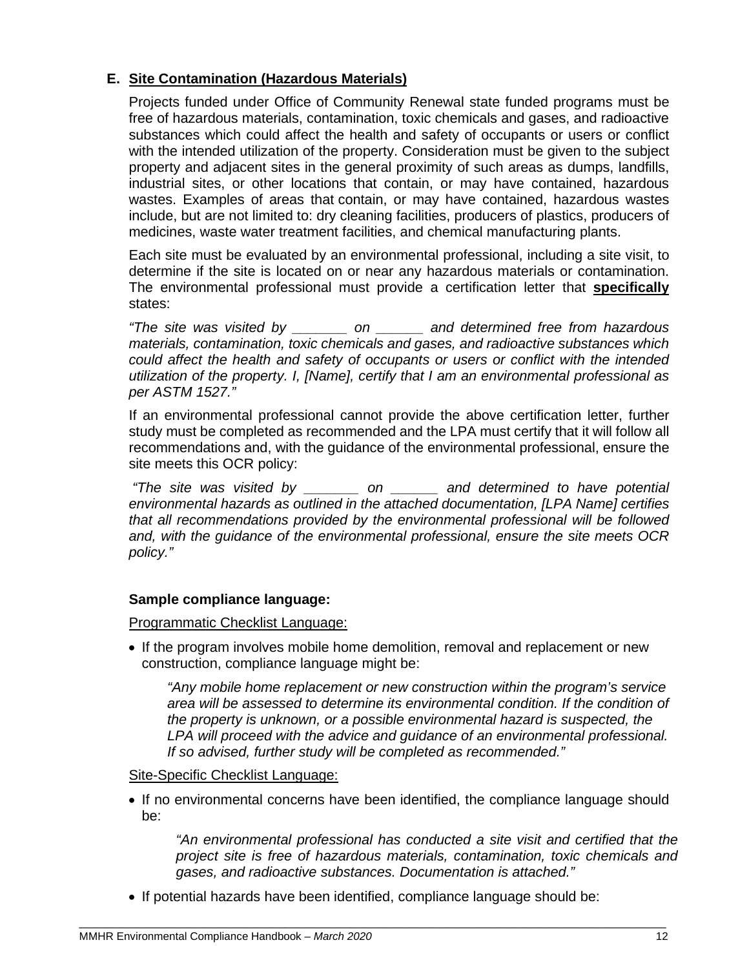## <span id="page-11-0"></span>**E. Site Contamination (Hazardous Materials)**

Projects funded under Office of Community Renewal state funded programs must be free of hazardous materials, contamination, toxic chemicals and gases, and radioactive substances which could affect the health and safety of occupants or users or conflict with the intended utilization of the property. Consideration must be given to the subject property and adjacent sites in the general proximity of such areas as dumps, landfills, industrial sites, or other locations that contain, or may have contained, hazardous wastes. Examples of areas that contain, or may have contained, hazardous wastes include, but are not limited to: dry cleaning facilities, producers of plastics, producers of medicines, waste water treatment facilities, and chemical manufacturing plants.

Each site must be evaluated by an environmental professional, including a site visit, to determine if the site is located on or near any hazardous materials or contamination. The environmental professional must provide a certification letter that **specifically** states:

*"The site was visited by \_\_\_\_\_\_\_ on \_\_\_\_\_\_ and determined free from hazardous materials, contamination, toxic chemicals and gases, and radioactive substances which could affect the health and safety of occupants or users or conflict with the intended utilization of the property. I, [Name], certify that I am an environmental professional as per ASTM 1527."*

If an environmental professional cannot provide the above certification letter, further study must be completed as recommended and the LPA must certify that it will follow all recommendations and, with the guidance of the environmental professional, ensure the site meets this OCR policy:

*"The site was visited by \_\_\_\_\_\_\_ on \_\_\_\_\_\_ and determined to have potential environmental hazards as outlined in the attached documentation, [LPA Name] certifies that all recommendations provided by the environmental professional will be followed and, with the guidance of the environmental professional, ensure the site meets OCR policy."*

## **Sample compliance language:**

Programmatic Checklist Language:

• If the program involves mobile home demolition, removal and replacement or new construction, compliance language might be:

*"Any mobile home replacement or new construction within the program's service area will be assessed to determine its environmental condition. If the condition of the property is unknown, or a possible environmental hazard is suspected, the LPA will proceed with the advice and guidance of an environmental professional. If so advised, further study will be completed as recommended."*

Site-Specific Checklist Language:

• If no environmental concerns have been identified, the compliance language should be:

*"An environmental professional has conducted a site visit and certified that the project site is free of hazardous materials, contamination, toxic chemicals and gases, and radioactive substances. Documentation is attached."*

• If potential hazards have been identified, compliance language should be: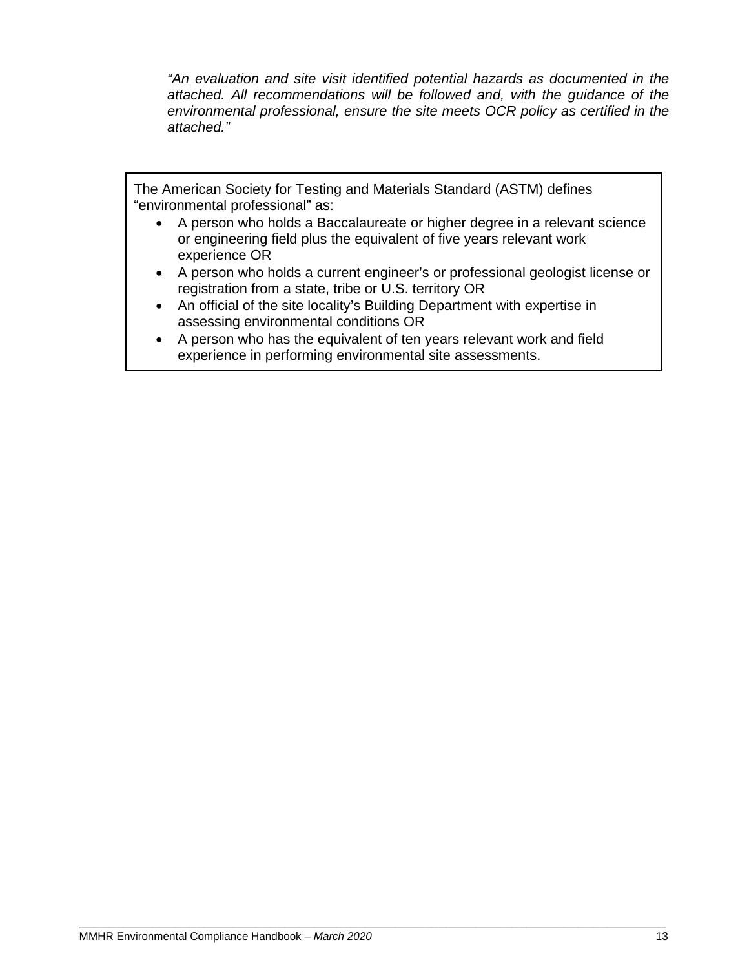*"An evaluation and site visit identified potential hazards as documented in the attached. All recommendations will be followed and, with the guidance of the environmental professional, ensure the site meets OCR policy as certified in the attached."*

The American Society for Testing and Materials Standard (ASTM) defines "environmental professional" as:

- A person who holds a Baccalaureate or higher degree in a relevant science or engineering field plus the equivalent of five years relevant work experience OR
- A person who holds a current engineer's or professional geologist license or registration from a state, tribe or U.S. territory OR
- An official of the site locality's Building Department with expertise in assessing environmental conditions OR
- A person who has the equivalent of ten years relevant work and field experience in performing environmental site assessments.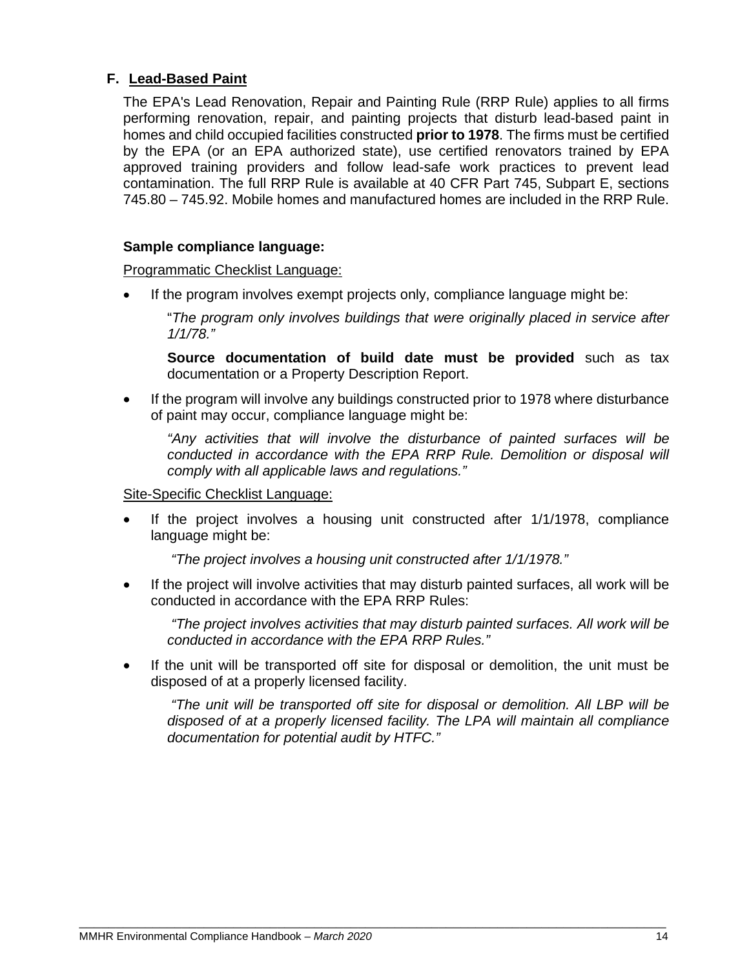## <span id="page-13-0"></span>**F. Lead-Based Paint**

The EPA's Lead Renovation, Repair and Painting Rule (RRP Rule) applies to all firms performing renovation, repair, and painting projects that disturb lead-based paint in homes and child occupied facilities constructed **prior to 1978**. The firms must be certified by the EPA (or an EPA authorized state), use certified renovators trained by EPA approved training providers and follow lead-safe work practices to prevent lead contamination. The full RRP Rule is available at 40 CFR Part 745, Subpart E, sections 745.80 – 745.92. Mobile homes and manufactured homes are included in the RRP Rule.

### **Sample compliance language:**

Programmatic Checklist Language:

• If the program involves exempt projects only, compliance language might be:

"*The program only involves buildings that were originally placed in service after 1/1/78."* 

**Source documentation of build date must be provided** such as tax documentation or a Property Description Report.

If the program will involve any buildings constructed prior to 1978 where disturbance of paint may occur, compliance language might be:

*"Any activities that will involve the disturbance of painted surfaces will be conducted in accordance with the EPA RRP Rule. Demolition or disposal will comply with all applicable laws and regulations."*

#### Site-Specific Checklist Language:

If the project involves a housing unit constructed after  $1/1/1978$ , compliance language might be:

*"The project involves a housing unit constructed after 1/1/1978."* 

*\_\_\_\_\_\_\_\_\_\_\_\_\_\_\_\_\_\_\_\_\_\_\_\_\_\_\_\_\_\_\_\_\_\_\_\_\_\_\_\_\_\_\_\_\_\_\_\_\_\_\_\_\_\_\_\_\_\_\_\_\_\_\_\_\_\_\_\_\_\_\_\_\_\_\_\_\_\_\_\_*

If the project will involve activities that may disturb painted surfaces, all work will be conducted in accordance with the EPA RRP Rules:

*"The project involves activities that may disturb painted surfaces. All work will be conducted in accordance with the EPA RRP Rules."*

If the unit will be transported off site for disposal or demolition, the unit must be disposed of at a properly licensed facility.

*"The unit will be transported off site for disposal or demolition. All LBP will be disposed of at a properly licensed facility. The LPA will maintain all compliance documentation for potential audit by HTFC."*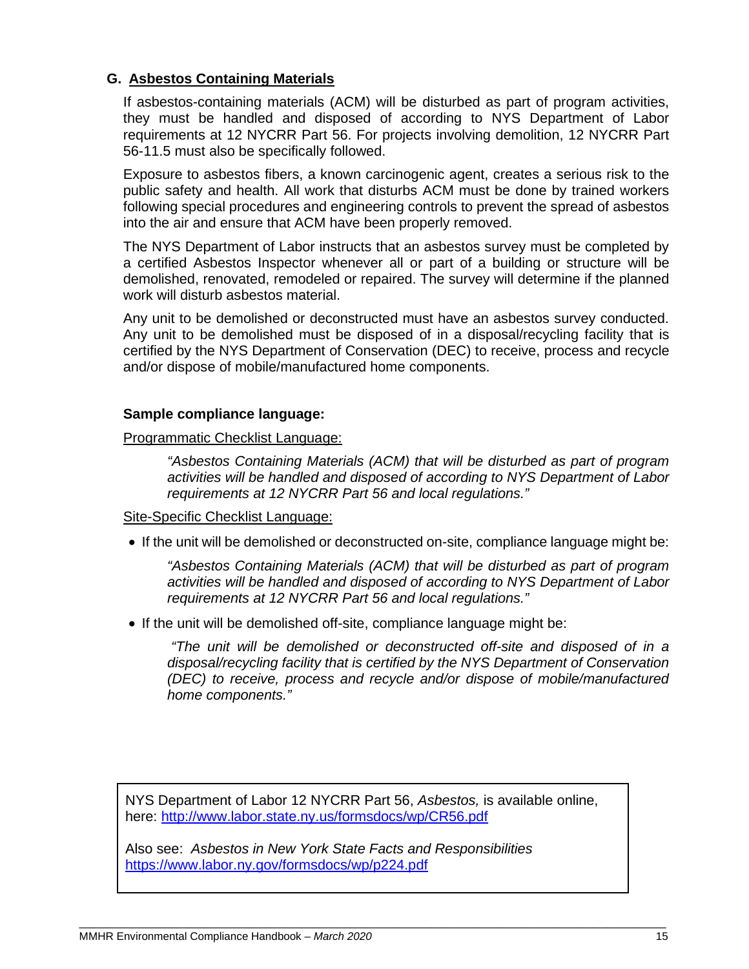## <span id="page-14-0"></span>**G. Asbestos Containing Materials**

If asbestos-containing materials (ACM) will be disturbed as part of program activities, they must be handled and disposed of according to NYS Department of Labor requirements at 12 NYCRR Part 56. For projects involving demolition, 12 NYCRR Part 56-11.5 must also be specifically followed.

Exposure to asbestos fibers, a known carcinogenic agent, creates a serious risk to the public safety and health. All work that disturbs ACM must be done by trained workers following special procedures and engineering controls to prevent the spread of asbestos into the air and ensure that ACM have been properly removed.

The NYS Department of Labor instructs that an asbestos survey must be completed by a certified Asbestos Inspector whenever all or part of a building or structure will be demolished, renovated, remodeled or repaired. The survey will determine if the planned work will disturb asbestos material.

Any unit to be demolished or deconstructed must have an asbestos survey conducted. Any unit to be demolished must be disposed of in a disposal/recycling facility that is certified by the NYS Department of Conservation (DEC) to receive, process and recycle and/or dispose of mobile/manufactured home components.

#### **Sample compliance language:**

Programmatic Checklist Language:

*"Asbestos Containing Materials (ACM) that will be disturbed as part of program activities will be handled and disposed of according to NYS Department of Labor requirements at 12 NYCRR Part 56 and local regulations."*

### Site-Specific Checklist Language:

• If the unit will be demolished or deconstructed on-site, compliance language might be:

*"Asbestos Containing Materials (ACM) that will be disturbed as part of program activities will be handled and disposed of according to NYS Department of Labor requirements at 12 NYCRR Part 56 and local regulations."* 

• If the unit will be demolished off-site, compliance language might be:

*"The unit will be demolished or deconstructed off-site and disposed of in a disposal/recycling facility that is certified by the NYS Department of Conservation (DEC) to receive, process and recycle and/or dispose of mobile/manufactured home components."*

NYS Department of Labor 12 NYCRR Part 56, *Asbestos,* is available online, here:<http://www.labor.state.ny.us/formsdocs/wp/CR56.pdf>

Also see: *Asbestos in New York State Facts and Responsibilities* <https://www.labor.ny.gov/formsdocs/wp/p224.pdf>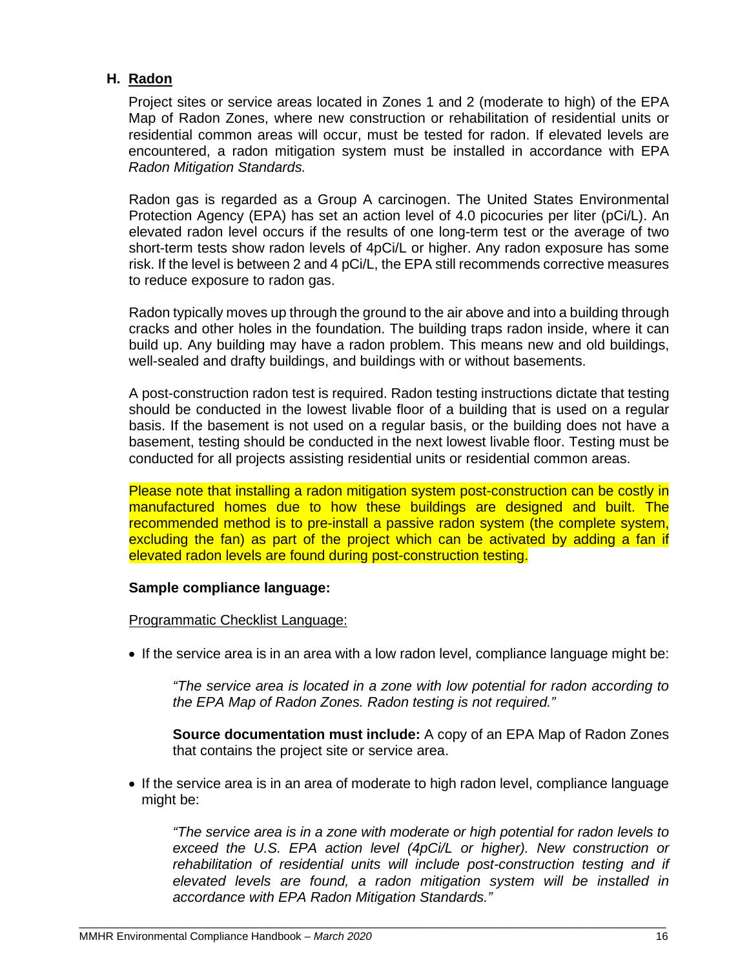## <span id="page-15-0"></span>**H. Radon**

Project sites or service areas located in Zones 1 and 2 (moderate to high) of the EPA Map of Radon Zones, where new construction or rehabilitation of residential units or residential common areas will occur, must be tested for radon. If elevated levels are encountered, a radon mitigation system must be installed in accordance with EPA *Radon Mitigation Standards.* 

Radon gas is regarded as a Group A carcinogen. The United States Environmental Protection Agency (EPA) has set an action level of 4.0 picocuries per liter (pCi/L). An elevated radon level occurs if the results of one long-term test or the average of two short-term tests show radon levels of 4pCi/L or higher. Any radon exposure has some risk. If the level is between 2 and 4 pCi/L, the EPA still recommends corrective measures to reduce exposure to radon gas.

Radon typically moves up through the ground to the air above and into a building through cracks and other holes in the foundation. The building traps radon inside, where it can build up. Any building may have a radon problem. This means new and old buildings, well-sealed and drafty buildings, and buildings with or without basements.

A post-construction radon test is required. Radon testing instructions dictate that testing should be conducted in the lowest livable floor of a building that is used on a regular basis. If the basement is not used on a regular basis, or the building does not have a basement, testing should be conducted in the next lowest livable floor. Testing must be conducted for all projects assisting residential units or residential common areas.

Please note that installing a radon mitigation system post-construction can be costly in manufactured homes due to how these buildings are designed and built. The recommended method is to pre-install a passive radon system (the complete system, excluding the fan) as part of the project which can be activated by adding a fan if elevated radon levels are found during post-construction testing.

### **Sample compliance language:**

### Programmatic Checklist Language:

• If the service area is in an area with a low radon level, compliance language might be:

*"The service area is located in a zone with low potential for radon according to the EPA Map of Radon Zones. Radon testing is not required."*

**Source documentation must include:** A copy of an EPA Map of Radon Zones that contains the project site or service area.

• If the service area is in an area of moderate to high radon level, compliance language might be:

*\_\_\_\_\_\_\_\_\_\_\_\_\_\_\_\_\_\_\_\_\_\_\_\_\_\_\_\_\_\_\_\_\_\_\_\_\_\_\_\_\_\_\_\_\_\_\_\_\_\_\_\_\_\_\_\_\_\_\_\_\_\_\_\_\_\_\_\_\_\_\_\_\_\_\_\_\_\_\_\_*

*"The service area is in a zone with moderate or high potential for radon levels to*  exceed the U.S. EPA action level (4pCi/L or higher). New construction or *rehabilitation of residential units will include post-construction testing and if elevated levels are found, a radon mitigation system will be installed in accordance with EPA Radon Mitigation Standards."*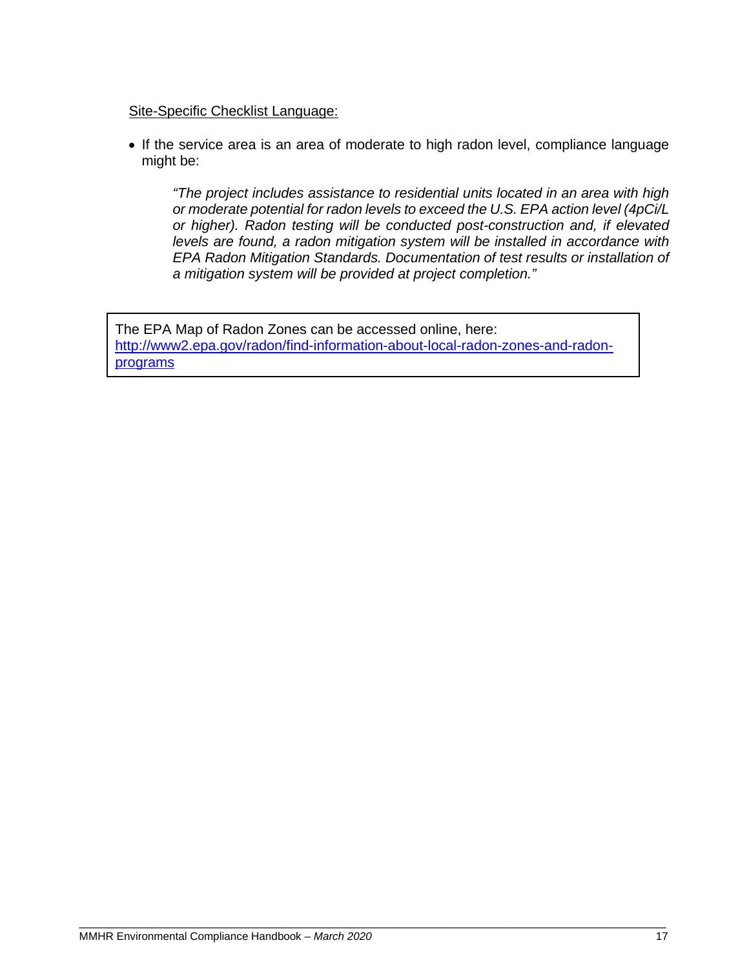## Site-Specific Checklist Language:

• If the service area is an area of moderate to high radon level, compliance language might be:

*"The project includes assistance to residential units located in an area with high or moderate potential for radon levels to exceed the U.S. EPA action level (4pCi/L or higher). Radon testing will be conducted post-construction and, if elevated levels are found, a radon mitigation system will be installed in accordance with EPA Radon Mitigation Standards. Documentation of test results or installation of a mitigation system will be provided at project completion."*

The EPA Map of Radon Zones can be accessed online, here: [http://www2.epa.gov/radon/find-information-about-local-radon-zones-and-radon](http://www2.epa.gov/radon/find-information-about-local-radon-zones-and-radon-programs)[programs](http://www2.epa.gov/radon/find-information-about-local-radon-zones-and-radon-programs)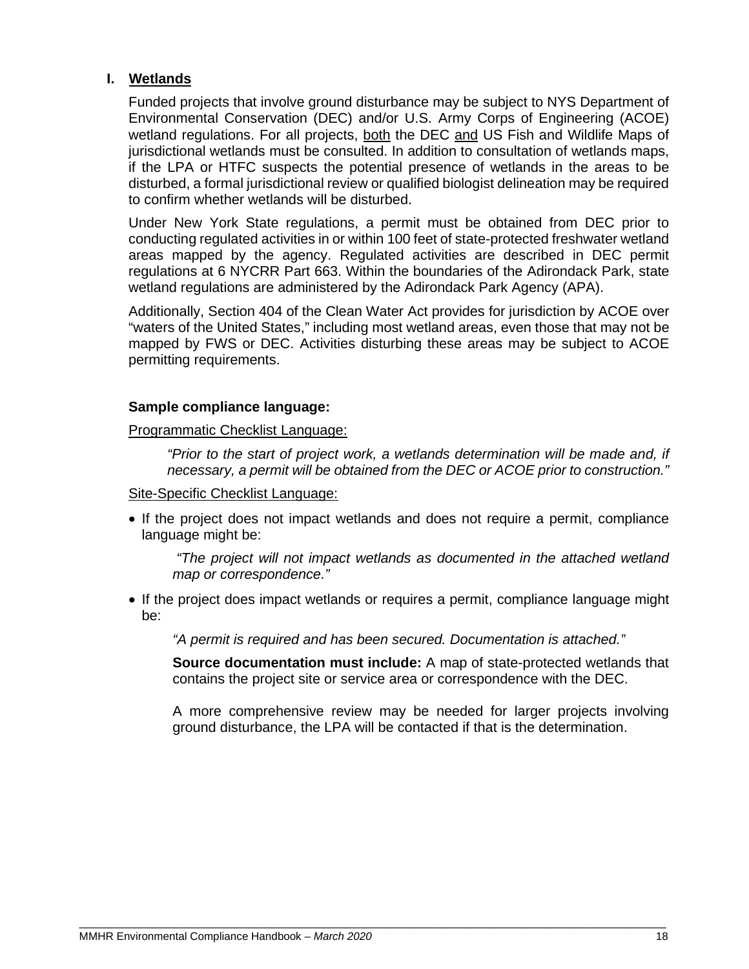## <span id="page-17-0"></span>**I. Wetlands**

Funded projects that involve ground disturbance may be subject to NYS Department of Environmental Conservation (DEC) and/or U.S. Army Corps of Engineering (ACOE) wetland regulations. For all projects, both the DEC and US Fish and Wildlife Maps of jurisdictional wetlands must be consulted. In addition to consultation of wetlands maps, if the LPA or HTFC suspects the potential presence of wetlands in the areas to be disturbed, a formal jurisdictional review or qualified biologist delineation may be required to confirm whether wetlands will be disturbed.

Under New York State regulations, a permit must be obtained from DEC prior to conducting regulated activities in or within 100 feet of state-protected freshwater wetland areas mapped by the agency. Regulated activities are described in DEC permit regulations at 6 NYCRR Part 663. Within the boundaries of the Adirondack Park, state wetland regulations are administered by the Adirondack Park Agency (APA).

Additionally, Section 404 of the Clean Water Act provides for jurisdiction by ACOE over "waters of the United States," including most wetland areas, even those that may not be mapped by FWS or DEC. Activities disturbing these areas may be subject to ACOE permitting requirements.

### **Sample compliance language:**

Programmatic Checklist Language:

*"Prior to the start of project work, a wetlands determination will be made and, if necessary, a permit will be obtained from the DEC or ACOE prior to construction."*

### Site-Specific Checklist Language:

• If the project does not impact wetlands and does not require a permit, compliance language might be:

*"The project will not impact wetlands as documented in the attached wetland map or correspondence."*

• If the project does impact wetlands or requires a permit, compliance language might be:

*"A permit is required and has been secured. Documentation is attached."*

*\_\_\_\_\_\_\_\_\_\_\_\_\_\_\_\_\_\_\_\_\_\_\_\_\_\_\_\_\_\_\_\_\_\_\_\_\_\_\_\_\_\_\_\_\_\_\_\_\_\_\_\_\_\_\_\_\_\_\_\_\_\_\_\_\_\_\_\_\_\_\_\_\_\_\_\_\_\_\_\_*

**Source documentation must include:** A map of state-protected wetlands that contains the project site or service area or correspondence with the DEC.

A more comprehensive review may be needed for larger projects involving ground disturbance, the LPA will be contacted if that is the determination.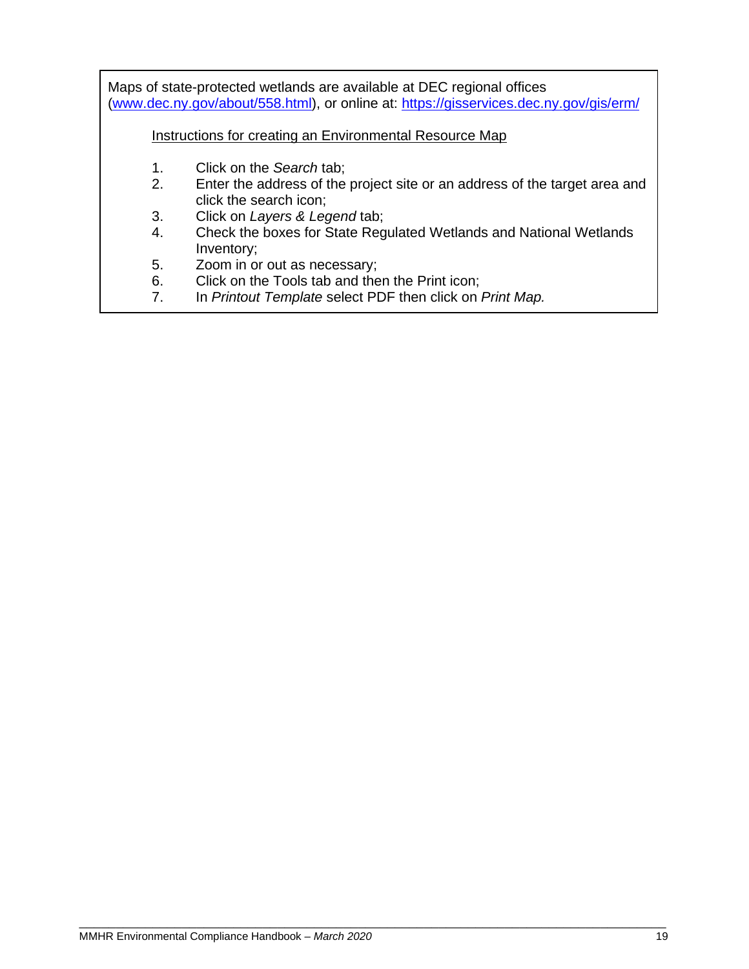Maps of state-protected wetlands are available at DEC regional offices [\(www.dec.ny.gov/about/558.html\)](http://www.dec.ny.gov/about/558.html), or online at: <https://gisservices.dec.ny.gov/gis/erm/> Instructions for creating an Environmental Resource Map 1. Click on the *Search* tab; 2. Enter the address of the project site or an address of the target area and click the search icon; 3. Click on *Layers & Legend* tab; 4. Check the boxes for State Regulated Wetlands and National Wetlands Inventory; 5. Zoom in or out as necessary; 6. Click on the Tools tab and then the Print icon;<br>7. In Printout Template select PDF then click on 7. In *Printout Template* select PDF then click on *Print Map.*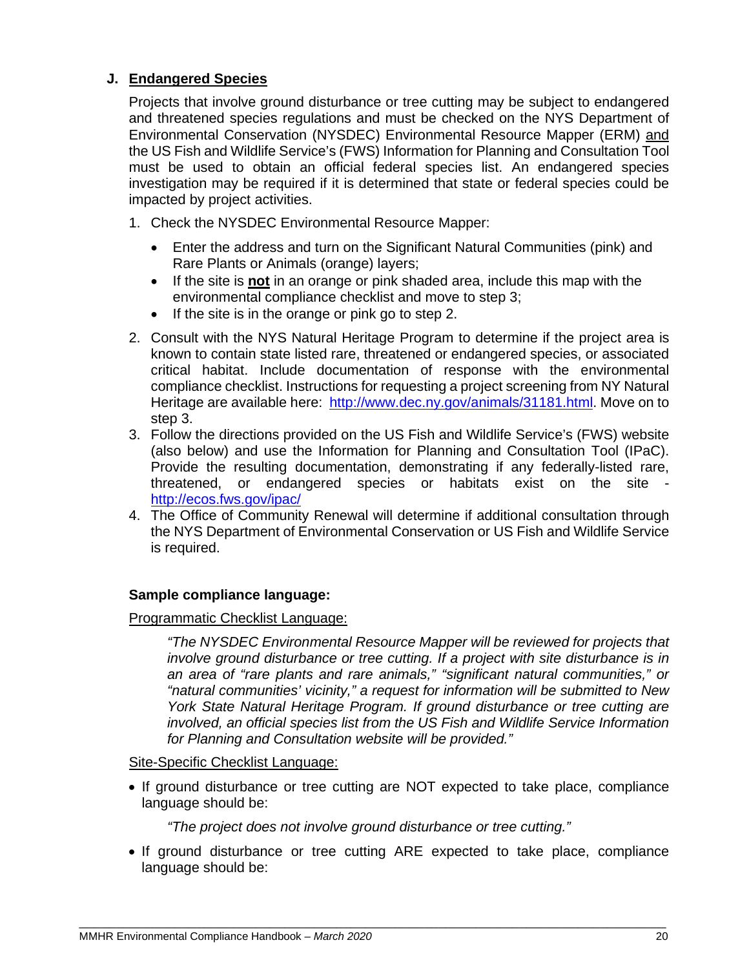# <span id="page-19-0"></span>**J. Endangered Species**

Projects that involve ground disturbance or tree cutting may be subject to endangered and threatened species regulations and must be checked on the NYS Department of Environmental Conservation (NYSDEC) Environmental Resource Mapper (ERM) and the US Fish and Wildlife Service's (FWS) Information for Planning and Consultation Tool must be used to obtain an official federal species list. An endangered species investigation may be required if it is determined that state or federal species could be impacted by project activities.

- 1. Check the NYSDEC Environmental Resource Mapper:
	- Enter the address and turn on the Significant Natural Communities (pink) and Rare Plants or Animals (orange) layers;
	- If the site is **not** in an orange or pink shaded area, include this map with the environmental compliance checklist and move to step 3;
	- If the site is in the orange or pink go to step 2.
- 2. Consult with the NYS Natural Heritage Program to determine if the project area is known to contain state listed rare, threatened or endangered species, or associated critical habitat. Include documentation of response with the environmental compliance checklist. Instructions for requesting a project screening from NY Natural Heritage are available here: [http://www.dec.ny.gov/animals/31181.html.](http://www.dec.ny.gov/animals/31181.html) Move on to step 3.
- 3. Follow the directions provided on the US Fish and Wildlife Service's (FWS) website (also below) and use the Information for Planning and Consultation Tool (IPaC). Provide the resulting documentation, demonstrating if any federally-listed rare, threatened, or endangered species or habitats exist on the site <http://ecos.fws.gov/ipac/>
- 4. The Office of Community Renewal will determine if additional consultation through the NYS Department of Environmental Conservation or US Fish and Wildlife Service is required.

## **Sample compliance language:**

### Programmatic Checklist Language:

*"The NYSDEC Environmental Resource Mapper will be reviewed for projects that involve ground disturbance or tree cutting. If a project with site disturbance is in an area of "rare plants and rare animals," "significant natural communities," or "natural communities' vicinity," a request for information will be submitted to New York State Natural Heritage Program. If ground disturbance or tree cutting are involved, an official species list from the US Fish and Wildlife Service Information for Planning and Consultation website will be provided."*

### Site-Specific Checklist Language:

• If ground disturbance or tree cutting are NOT expected to take place, compliance language should be:

*"The project does not involve ground disturbance or tree cutting."*

*\_\_\_\_\_\_\_\_\_\_\_\_\_\_\_\_\_\_\_\_\_\_\_\_\_\_\_\_\_\_\_\_\_\_\_\_\_\_\_\_\_\_\_\_\_\_\_\_\_\_\_\_\_\_\_\_\_\_\_\_\_\_\_\_\_\_\_\_\_\_\_\_\_\_\_\_\_\_\_\_*

• If ground disturbance or tree cutting ARE expected to take place, compliance language should be: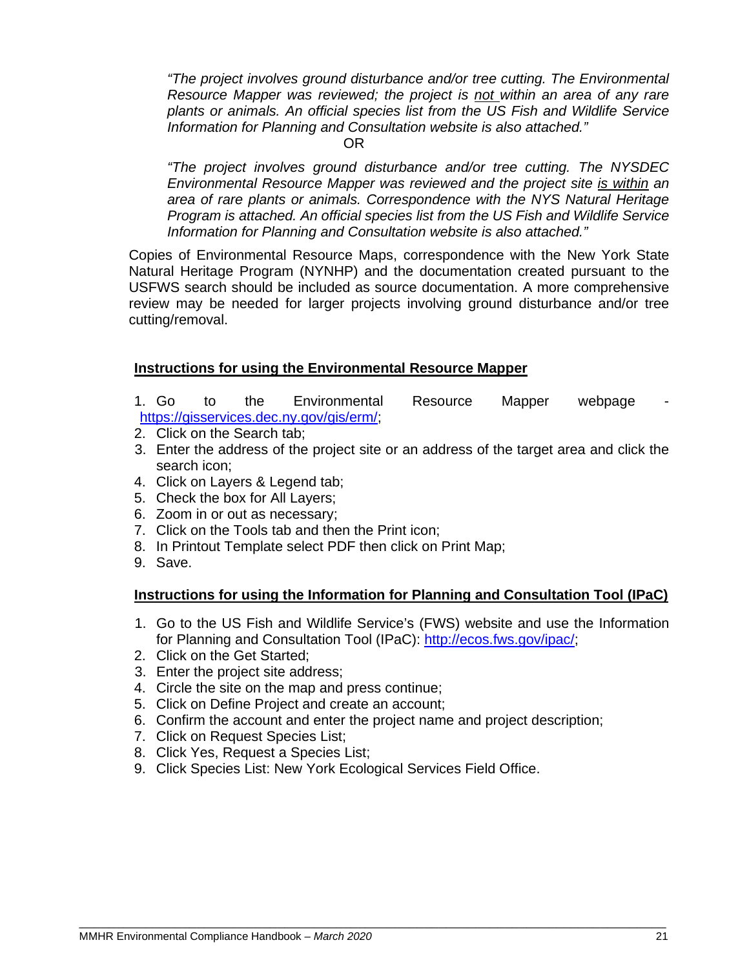*"The project involves ground disturbance and/or tree cutting. The Environmental Resource Mapper was reviewed; the project is not within an area of any rare plants or animals. An official species list from the US Fish and Wildlife Service Information for Planning and Consultation website is also attached."*

#### OR

*"The project involves ground disturbance and/or tree cutting. The NYSDEC Environmental Resource Mapper was reviewed and the project site is within an area of rare plants or animals. Correspondence with the NYS Natural Heritage Program is attached. An official species list from the US Fish and Wildlife Service Information for Planning and Consultation website is also attached."*

Copies of Environmental Resource Maps, correspondence with the New York State Natural Heritage Program (NYNHP) and the documentation created pursuant to the USFWS search should be included as source documentation. A more comprehensive review may be needed for larger projects involving ground disturbance and/or tree cutting/removal.

### **Instructions for using the Environmental Resource Mapper**

- 1. Go to the Environmental Resource Mapper webpage [https://gisservices.dec.ny.gov/gis/erm/;](https://gisservices.dec.ny.gov/gis/erm/)
- 2. Click on the Search tab;
- 3. Enter the address of the project site or an address of the target area and click the search icon;
- 4. Click on Layers & Legend tab;
- 5. Check the box for All Layers;
- 6. Zoom in or out as necessary;
- 7. Click on the Tools tab and then the Print icon;
- 8. In Printout Template select PDF then click on Print Map;
- 9. Save.

### **Instructions for using the Information for Planning and Consultation Tool (IPaC)**

- 1. Go to the US Fish and Wildlife Service's (FWS) website and use the Information for Planning and Consultation Tool (IPaC): [http://ecos.fws.gov/ipac/;](http://ecos.fws.gov/ipac/)
- 2. Click on the Get Started;
- 3. Enter the project site address;
- 4. Circle the site on the map and press continue;
- 5. Click on Define Project and create an account;
- 6. Confirm the account and enter the project name and project description;

*\_\_\_\_\_\_\_\_\_\_\_\_\_\_\_\_\_\_\_\_\_\_\_\_\_\_\_\_\_\_\_\_\_\_\_\_\_\_\_\_\_\_\_\_\_\_\_\_\_\_\_\_\_\_\_\_\_\_\_\_\_\_\_\_\_\_\_\_\_\_\_\_\_\_\_\_\_\_\_\_*

- 7. Click on Request Species List;
- 8. Click Yes, Request a Species List;
- 9. Click Species List: New York Ecological Services Field Office.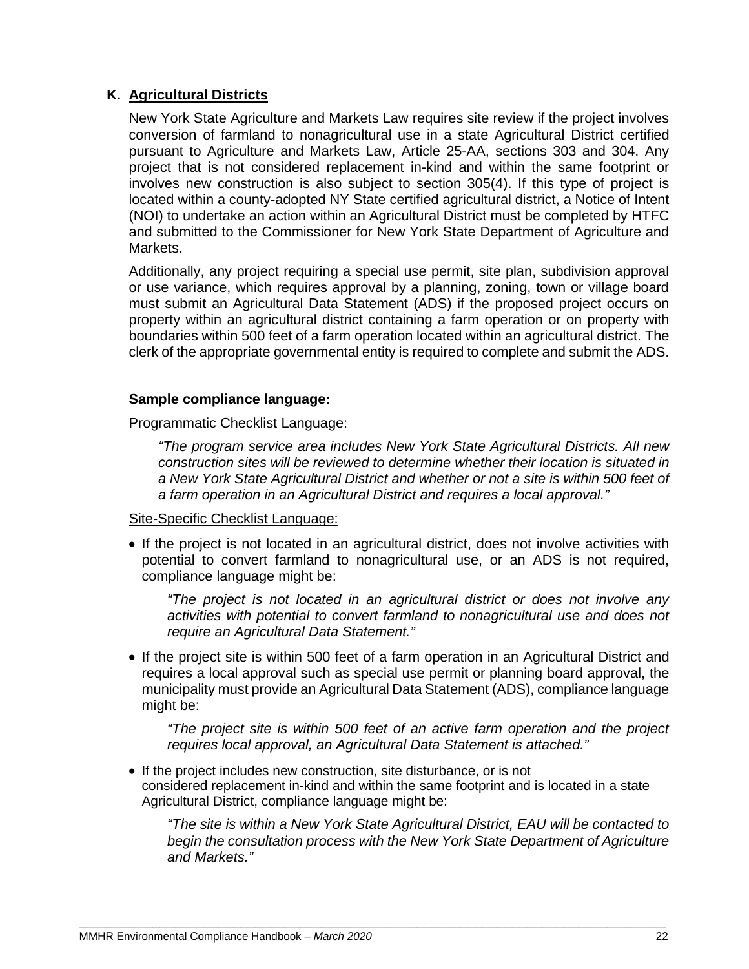## <span id="page-21-0"></span>**K. Agricultural Districts**

New York State Agriculture and Markets Law requires site review if the project involves conversion of farmland to nonagricultural use in a state Agricultural District certified pursuant to Agriculture and Markets Law, Article 25-AA, sections 303 and 304. Any project that is not considered replacement in-kind and within the same footprint or involves new construction is also subject to section 305(4). If this type of project is located within a county-adopted NY State certified agricultural district, a Notice of Intent (NOI) to undertake an action within an Agricultural District must be completed by HTFC and submitted to the Commissioner for New York State Department of Agriculture and Markets.

Additionally, any project requiring a special use permit, site plan, subdivision approval or use variance, which requires approval by a planning, zoning, town or village board must submit an Agricultural Data Statement (ADS) if the proposed project occurs on property within an agricultural district containing a farm operation or on property with boundaries within 500 feet of a farm operation located within an agricultural district. The clerk of the appropriate governmental entity is required to complete and submit the ADS.

### **Sample compliance language:**

Programmatic Checklist Language:

*"The program service area includes New York State Agricultural Districts. All new construction sites will be reviewed to determine whether their location is situated in a New York State Agricultural District and whether or not a site is within 500 feet of a farm operation in an Agricultural District and requires a local approval."*

## Site-Specific Checklist Language:

• If the project is not located in an agricultural district, does not involve activities with potential to convert farmland to nonagricultural use, or an ADS is not required, compliance language might be:

*"The project is not located in an agricultural district or does not involve any activities with potential to convert farmland to nonagricultural use and does not require an Agricultural Data Statement."*

• If the project site is within 500 feet of a farm operation in an Agricultural District and requires a local approval such as special use permit or planning board approval, the municipality must provide an Agricultural Data Statement (ADS), compliance language might be:

*"The project site is within 500 feet of an active farm operation and the project requires local approval, an Agricultural Data Statement is attached."*

• If the project includes new construction, site disturbance, or is not considered replacement in-kind and within the same footprint and is located in a state Agricultural District, compliance language might be:

*"The site is within a New York State Agricultural District, EAU will be contacted to begin the consultation process with the New York State Department of Agriculture and Markets."*